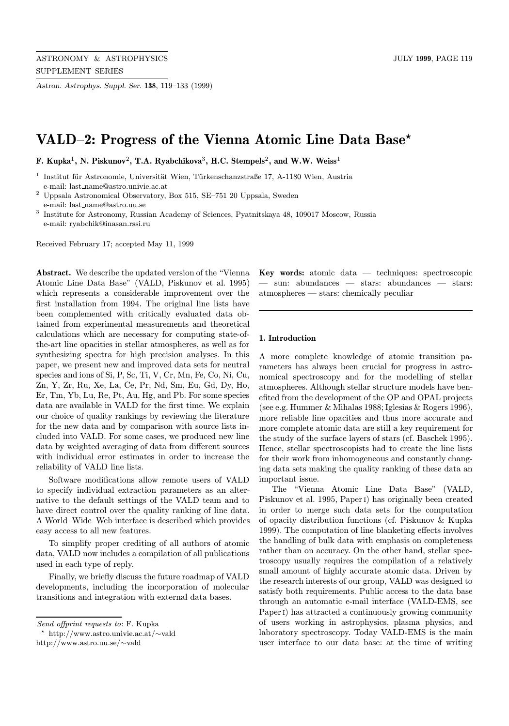Astron. Astrophys. Suppl. Ser. 138, 119–133 (1999)

# VALD–2: Progress of the Vienna Atomic Line Data Base<sup>\*</sup>

F. Kupka<sup>1</sup>, N. Piskunov<sup>2</sup>, T.A. Ryabchikova<sup>3</sup>, H.C. Stempels<sup>2</sup>, and W.W. Weiss<sup>1</sup>

Institut für Astronomie, Universität Wien, Türkenschanzstraße 17, A-1180 Wien, Austria e-mail: last name@astro.univie.ac.at

<sup>2</sup> Uppsala Astronomical Observatory, Box 515, SE–751 20 Uppsala, Sweden e-mail: last name@astro.uu.se

<sup>3</sup> Institute for Astronomy, Russian Academy of Sciences, Pyatnitskaya 48, 109017 Moscow, Russia e-mail: ryabchik@inasan.rssi.ru

Received February 17; accepted May 11, 1999

Abstract. We describe the updated version of the "Vienna Atomic Line Data Base" (VALD, Piskunov et al. 1995) which represents a considerable improvement over the first installation from 1994. The original line lists have been complemented with critically evaluated data obtained from experimental measurements and theoretical calculations which are necessary for computing state-ofthe-art line opacities in stellar atmospheres, as well as for synthesizing spectra for high precision analyses. In this paper, we present new and improved data sets for neutral species and ions of Si, P, Sc, Ti, V, Cr, Mn, Fe, Co, Ni, Cu, Zn, Y, Zr, Ru, Xe, La, Ce, Pr, Nd, Sm, Eu, Gd, Dy, Ho, Er, Tm, Yb, Lu, Re, Pt, Au, Hg, and Pb. For some species data are available in VALD for the first time. We explain our choice of quality rankings by reviewing the literature for the new data and by comparison with source lists included into VALD. For some cases, we produced new line data by weighted averaging of data from different sources with individual error estimates in order to increase the reliability of VALD line lists.

Software modifications allow remote users of VALD to specify individual extraction parameters as an alternative to the default settings of the VALD team and to have direct control over the quality ranking of line data. A World–Wide–Web interface is described which provides easy access to all new features.

To simplify proper crediting of all authors of atomic data, VALD now includes a compilation of all publications used in each type of reply.

Finally, we briefly discuss the future roadmap of VALD developments, including the incorporation of molecular transitions and integration with external data bases.

? http://www.astro.univie.ac.at/∼vald

**Key words:** atomic data  $-$  techniques: spectroscopic — sun: abundances — stars: abundances — stars: atmospheres — stars: chemically peculiar

## 1. Introduction

A more complete knowledge of atomic transition parameters has always been crucial for progress in astronomical spectroscopy and for the modelling of stellar atmospheres. Although stellar structure models have benefited from the development of the OP and OPAL projects (see e.g. Hummer & Mihalas 1988; Iglesias & Rogers 1996), more reliable line opacities and thus more accurate and more complete atomic data are still a key requirement for the study of the surface layers of stars (cf. Baschek 1995). Hence, stellar spectroscopists had to create the line lists for their work from inhomogeneous and constantly changing data sets making the quality ranking of these data an important issue.

The "Vienna Atomic Line Data Base" (VALD, Piskunov et al. 1995, Paperi) has originally been created in order to merge such data sets for the computation of opacity distribution functions (cf. Piskunov & Kupka 1999). The computation of line blanketing effects involves the handling of bulk data with emphasis on completeness rather than on accuracy. On the other hand, stellar spectroscopy usually requires the compilation of a relatively small amount of highly accurate atomic data. Driven by the research interests of our group, VALD was designed to satisfy both requirements. Public access to the data base through an automatic e-mail interface (VALD-EMS, see Paper<sub>I</sub>) has attracted a continuously growing community of users working in astrophysics, plasma physics, and laboratory spectroscopy. Today VALD-EMS is the main user interface to our data base: at the time of writing

Send offprint requests to: F. Kupka

http://www.astro.uu.se/∼vald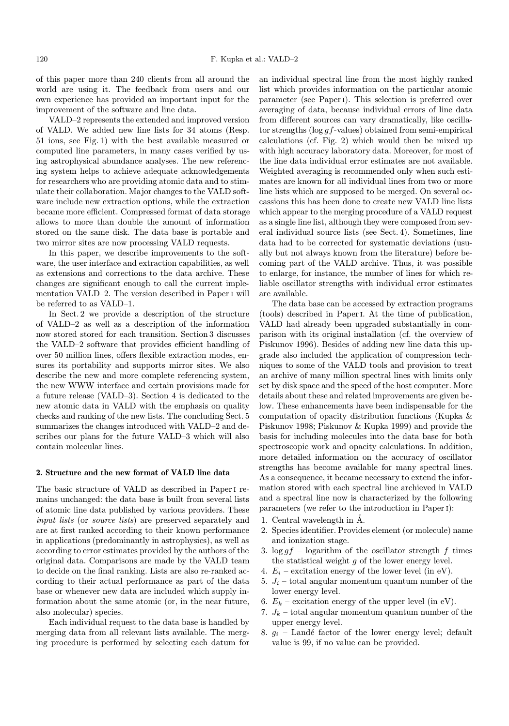of this paper more than 240 clients from all around the world are using it. The feedback from users and our own experience has provided an important input for the improvement of the software and line data.

VALD–2 represents the extended and improved version of VALD. We added new line lists for 34 atoms (Resp. 51 ions, see Fig. 1) with the best available measured or computed line parameters, in many cases verified by using astrophysical abundance analyses. The new referencing system helps to achieve adequate acknowledgements for researchers who are providing atomic data and to stimulate their collaboration. Major changes to the VALD software include new extraction options, while the extraction became more efficient. Compressed format of data storage allows to more than double the amount of information stored on the same disk. The data base is portable and two mirror sites are now processing VALD requests.

In this paper, we describe improvements to the software, the user interface and extraction capabilities, as well as extensions and corrections to the data archive. These changes are significant enough to call the current implementation VALD–2. The version described in Paper I will be referred to as VALD–1.

In Sect. 2 we provide a description of the structure of VALD–2 as well as a description of the information now stored stored for each transition. Section 3 discusses the VALD–2 software that provides efficient handling of over 50 million lines, offers flexible extraction modes, ensures its portability and supports mirror sites. We also describe the new and more complete referencing system, the new WWW interface and certain provisions made for a future release (VALD–3). Section 4 is dedicated to the new atomic data in VALD with the emphasis on quality checks and ranking of the new lists. The concluding Sect. 5 summarizes the changes introduced with VALD–2 and describes our plans for the future VALD–3 which will also contain molecular lines.

#### 2. Structure and the new format of VALD line data

The basic structure of VALD as described in Paperi remains unchanged: the data base is built from several lists of atomic line data published by various providers. These input lists (or source lists) are preserved separately and are at first ranked according to their known performance in applications (predominantly in astrophysics), as well as according to error estimates provided by the authors of the original data. Comparisons are made by the VALD team to decide on the final ranking. Lists are also re-ranked according to their actual performance as part of the data base or whenever new data are included which supply information about the same atomic (or, in the near future, also molecular) species.

Each individual request to the data base is handled by merging data from all relevant lists available. The merging procedure is performed by selecting each datum for an individual spectral line from the most highly ranked list which provides information on the particular atomic parameter (see Paperi). This selection is preferred over averaging of data, because individual errors of line data from different sources can vary dramatically, like oscillator strengths ( $log q f$ -values) obtained from semi-empirical calculations (cf. Fig. 2) which would then be mixed up with high accuracy laboratory data. Moreover, for most of the line data individual error estimates are not available. Weighted averaging is recommended only when such estimates are known for all individual lines from two or more line lists which are supposed to be merged. On several occassions this has been done to create new VALD line lists which appear to the merging procedure of a VALD request as a single line list, although they were composed from several individual source lists (see Sect. 4). Sometimes, line data had to be corrected for systematic deviations (usually but not always known from the literature) before becoming part of the VALD archive. Thus, it was possible to enlarge, for instance, the number of lines for which reliable oscillator strengths with individual error estimates are available.

The data base can be accessed by extraction programs (tools) described in Paperi. At the time of publication, VALD had already been upgraded substantially in comparison with its original installation (cf. the overview of Piskunov 1996). Besides of adding new line data this upgrade also included the application of compression techniques to some of the VALD tools and provision to treat an archive of many million spectral lines with limits only set by disk space and the speed of the host computer. More details about these and related improvements are given below. These enhancements have been indispensable for the computation of opacity distribution functions (Kupka & Piskunov 1998; Piskunov & Kupka 1999) and provide the basis for including molecules into the data base for both spectroscopic work and opacity calculations. In addition, more detailed information on the accuracy of oscillator strengths has become available for many spectral lines. As a consequence, it became necessary to extend the information stored with each spectral line archieved in VALD and a spectral line now is characterized by the following parameters (we refer to the introduction in Paperi):

- 1. Central wavelength in  $\dot{A}$ .
- 2. Species identifier. Provides element (or molecule) name and ionization stage.
- 3.  $\log gf$  logarithm of the oscillator strength f times the statistical weight g of the lower energy level.
- 4.  $E_i$  excitation energy of the lower level (in eV).
- 5.  $J_i$  total angular momentum quantum number of the lower energy level.
- 6.  $E_k$  excitation energy of the upper level (in eV).
- 7.  $J_k$  total angular momentum quantum number of the upper energy level.
- 8.  $g_i$  Landé factor of the lower energy level; default value is 99, if no value can be provided.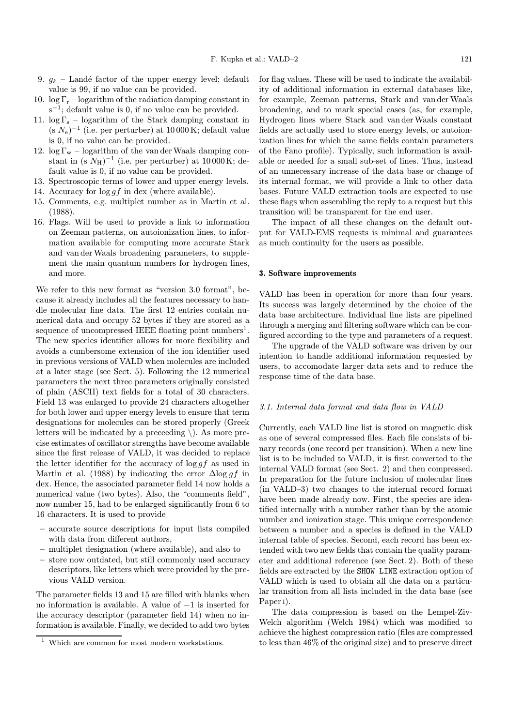- 9.  $q_k$  Landé factor of the upper energy level; default value is 99, if no value can be provided.
- 10.  $\log \Gamma_r$  logarithm of the radiation damping constant in  $s^{-1}$ ; default value is 0, if no value can be provided.
- 11.  $\log \Gamma_s$  logarithm of the Stark damping constant in  $(s N_e)^{-1}$  (i.e. per perturber) at 10 000 K; default value is 0, if no value can be provided.
- 12.  $\log \Gamma_w$  logarithm of the van der Waals damping constant in (s  $N_{\rm H}$ )<sup>-1</sup> (i.e. per perturber) at 10 000 K; default value is 0, if no value can be provided.
- 13. Spectroscopic terms of lower and upper energy levels.
- 14. Accuracy for  $\log gf$  in dex (where available).
- 15. Comments, e.g. multiplet number as in Martin et al. (1988).
- 16. Flags. Will be used to provide a link to information on Zeeman patterns, on autoionization lines, to information available for computing more accurate Stark and van derWaals broadening parameters, to supplement the main quantum numbers for hydrogen lines, and more.

We refer to this new format as "version 3.0 format", because it already includes all the features necessary to handle molecular line data. The first 12 entries contain numerical data and occupy 52 bytes if they are stored as a sequence of uncompressed IEEE floating point numbers<sup>1</sup>. The new species identifier allows for more flexibility and avoids a cumbersome extension of the ion identifier used in previous versions of VALD when molecules are included at a later stage (see Sect. 5). Following the 12 numerical parameters the next three parameters originally consisted of plain (ASCII) text fields for a total of 30 characters. Field 13 was enlarged to provide 24 characters altogether for both lower and upper energy levels to ensure that term designations for molecules can be stored properly (Greek letters will be indicated by a preceeding  $\setminus$ ). As more precise estimates of oscillator strengths have become available since the first release of VALD, it was decided to replace the letter identifier for the accuracy of  $\log gf$  as used in Martin et al. (1988) by indicating the error  $\Delta$ log gf in dex. Hence, the associated parameter field 14 now holds a numerical value (two bytes). Also, the "comments field", now number 15, had to be enlarged significantly from 6 to 16 characters. It is used to provide

- accurate source descriptions for input lists compiled with data from different authors,
- multiplet designation (where available), and also to
- store now outdated, but still commonly used accuracy descriptors, like letters which were provided by the previous VALD version.

The parameter fields 13 and 15 are filled with blanks when no information is available. A value of −1 is inserted for the accuracy descriptor (parameter field 14) when no information is available. Finally, we decided to add two bytes for flag values. These will be used to indicate the availability of additional information in external databases like, for example, Zeeman patterns, Stark and van der Waals broadening, and to mark special cases (as, for example, Hydrogen lines where Stark and van derWaals constant fields are actually used to store energy levels, or autoionization lines for which the same fields contain parameters of the Fano profile). Typically, such information is available or needed for a small sub-set of lines. Thus, instead of an unnecessary increase of the data base or change of its internal format, we will provide a link to other data bases. Future VALD extraction tools are expected to use these flags when assembling the reply to a request but this transition will be transparent for the end user.

The impact of all these changes on the default output for VALD-EMS requests is minimal and guarantees as much continuity for the users as possible.

## 3. Software improvements

VALD has been in operation for more than four years. Its success was largely determined by the choice of the data base architecture. Individual line lists are pipelined through a merging and filtering software which can be configured according to the type and parameters of a request.

The upgrade of the VALD software was driven by our intention to handle additional information requested by users, to accomodate larger data sets and to reduce the response time of the data base.

#### 3.1. Internal data format and data flow in VALD

Currently, each VALD line list is stored on magnetic disk as one of several compressed files. Each file consists of binary records (one record per transition). When a new line list is to be included to VALD, it is first converted to the internal VALD format (see Sect. 2) and then compressed. In preparation for the future inclusion of molecular lines (in VALD–3) two changes to the internal record format have been made already now. First, the species are identified internally with a number rather than by the atomic number and ionization stage. This unique correspondence between a number and a species is defined in the VALD internal table of species. Second, each record has been extended with two new fields that contain the quality parameter and additional reference (see Sect. 2). Both of these fields are extracted by the SHOW LINE extraction option of VALD which is used to obtain all the data on a particular transition from all lists included in the data base (see Paper<sub>I</sub>).

The data compression is based on the Lempel-Ziv-Welch algorithm (Welch 1984) which was modified to achieve the highest compression ratio (files are compressed to less than 46% of the original size) and to preserve direct

 $^{\rm 1}$  Which are common for most modern workstations.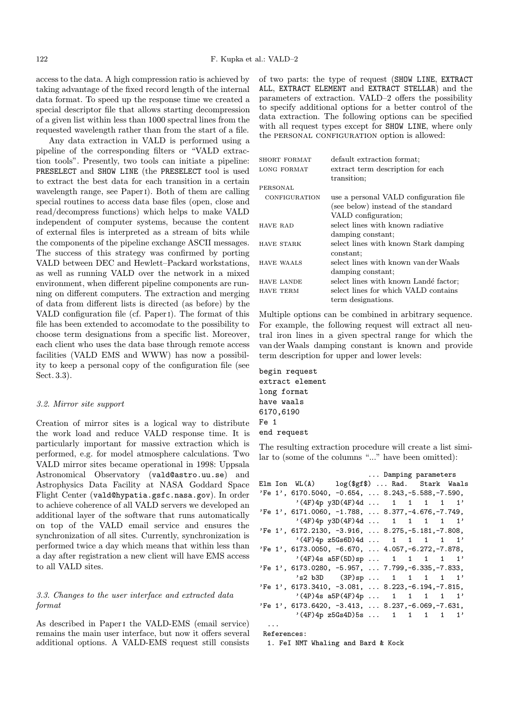access to the data. A high compression ratio is achieved by taking advantage of the fixed record length of the internal data format. To speed up the response time we created a special descriptor file that allows starting decompression of a given list within less than 1000 spectral lines from the requested wavelength rather than from the start of a file.

Any data extraction in VALD is performed using a pipeline of the corresponding filters or "VALD extraction tools". Presently, two tools can initiate a pipeline: PRESELECT and SHOW LINE (the PRESELECT tool is used to extract the best data for each transition in a certain wavelength range, see Paper<sub>I</sub>). Both of them are calling special routines to access data base files (open, close and read/decompress functions) which helps to make VALD independent of computer systems, because the content of external files is interpreted as a stream of bits while the components of the pipeline exchange ASCII messages. The success of this strategy was confirmed by porting VALD between DEC and Hewlett–Packard workstations, as well as running VALD over the network in a mixed environment, when different pipeline components are running on different computers. The extraction and merging of data from different lists is directed (as before) by the VALD configuration file (cf. Paperi). The format of this file has been extended to accomodate to the possibility to choose term designations from a specific list. Moreover, each client who uses the data base through remote access facilities (VALD EMS and WWW) has now a possibility to keep a personal copy of the configuration file (see Sect. 3.3).

### 3.2. Mirror site support

Creation of mirror sites is a logical way to distribute the work load and reduce VALD response time. It is particularly important for massive extraction which is performed, e.g. for model atmosphere calculations. Two VALD mirror sites became operational in 1998: Uppsala Astronomical Observatory (vald@astro.uu.se) and Astrophysics Data Facility at NASA Goddard Space Flight Center (vald@hypatia.gsfc.nasa.gov). In order to achieve coherence of all VALD servers we developed an additional layer of the software that runs automatically on top of the VALD email service and ensures the synchronization of all sites. Currently, synchronization is performed twice a day which means that within less than a day after registration a new client will have EMS access to all VALD sites.

## 3.3. Changes to the user interface and extracted data format

As described in Paperi the VALD-EMS (email service) remains the main user interface, but now it offers several additional options. A VALD-EMS request still consists of two parts: the type of request (SHOW LINE, EXTRACT ALL, EXTRACT ELEMENT and EXTRACT STELLAR) and the parameters of extraction. VALD–2 offers the possibility to specify additional options for a better control of the data extraction. The following options can be specified with all request types except for SHOW LINE, where only the PERSONAL CONFIGURATION option is allowed:

| SHORT FORMAT      | default extraction format;             |
|-------------------|----------------------------------------|
| LONG FORMAT       | extract term description for each      |
|                   | transition;                            |
| PERSONAL          |                                        |
| CONFIGURATION     | use a personal VALD configuration file |
|                   | (see below) instead of the standard    |
|                   | VALD configuration;                    |
| <b>HAVE RAD</b>   | select lines with known radiative      |
|                   | damping constant;                      |
| <b>HAVE STARK</b> | select lines with known Stark damping  |
|                   | constant:                              |
| <b>HAVE WAALS</b> | select lines with known van der Waals  |
|                   | damping constant;                      |
| <b>HAVE LANDE</b> | select lines with known Landé factor;  |
| <b>HAVE TERM</b>  | select lines for which VALD contains   |
|                   | term designations.                     |

Multiple options can be combined in arbitrary sequence. For example, the following request will extract all neutral iron lines in a given spectral range for which the van derWaals damping constant is known and provide term description for upper and lower levels:

begin request extract element long format have waals 6170,6190 Fe 1 end request

The resulting extraction procedure will create a list similar to (some of the columns "..." have been omitted):

|  |  |  |  |  |  | Damping parameters<br>Elm Ion WL(A)    log(\$gf\$)  Rad.    Stark Waals<br>'Fe 1', 6170.5040, $-0.654$ ,  8.243, $-5.588$ , $-7.590$ ,<br>$'$ (4F)4p y3D(4F)4d  1 1 1 1 1'<br>'Fe 1', 6171.0060, -1.788,  8.377, -4.676, -7.749,<br>$'$ (4F)4p y3D(4F)4d  1 1 1 1 1'<br>'Fe 1', 6172.2130, -3.916,  8.275, -5.181, -7.808,<br>$'$ (4F)4p z5Gs6D)4d  1 1 1 1 1'<br>'Fe 1', 6173.0050, -6.670,  4.057, -6.272, -7.878,<br>$'$ (4F)4s a5F(5D)sp  1 1 1 1 1'<br>'Fe 1', 6173.0280, -5.957,  7.799, -6.335, -7.833,<br>$'s2 b3D$ $(3P) sp 1 1 1 1 1'$<br>$'Fe$ 1', 6173.3410, -3.081,  8.223, -6.194, -7.815,<br>$'({4P})$ 4s a5P(4F)4p  1 1 1 1 1'<br>'Fe 1', 6173.6420, -3.413,  8.237, -6.069, -7.631,<br>$'$ (4F)4p z5Gs4D)5s  1 1 1 1 1' |  |  |  |
|--|--|--|--|--|--|------------------------------------------------------------------------------------------------------------------------------------------------------------------------------------------------------------------------------------------------------------------------------------------------------------------------------------------------------------------------------------------------------------------------------------------------------------------------------------------------------------------------------------------------------------------------------------------------------------------------------------------------------------------------------------------------------------------------------------------|--|--|--|

References:

...

1. FeI NMT Whaling and Bard & Kock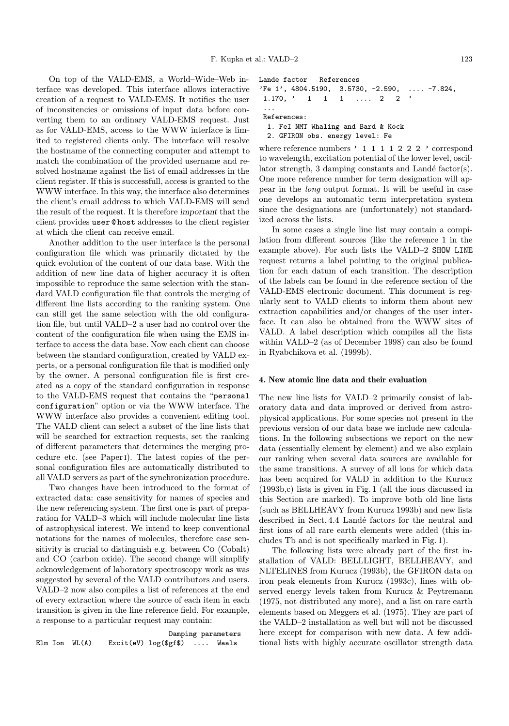On top of the VALD-EMS, a World–Wide–Web interface was developed. This interface allows interactive creation of a request to VALD-EMS. It notifies the user of inconsitencies or omissions of input data before converting them to an ordinary VALD-EMS request. Just as for VALD-EMS, access to the WWW interface is limited to registered clients only. The interface will resolve the hostname of the connecting computer and attempt to match the combination of the provided username and resolved hostname against the list of email addresses in the client register. If this is successfull, access is granted to the WWW interface. In this way, the interface also determines the client's email address to which VALD-EMS will send the result of the request. It is therefore important that the client provides user @ host addresses to the client register at which the client can receive email.

Another addition to the user interface is the personal configuration file which was primarily dictated by the quick evolution of the content of our data base. With the addition of new line data of higher accuracy it is often impossible to reproduce the same selection with the standard VALD configuration file that controls the merging of different line lists according to the ranking system. One can still get the same selection with the old configuration file, but until VALD–2 a user had no control over the content of the configuration file when using the EMS interface to access the data base. Now each client can choose between the standard configuration, created by VALD experts, or a personal configuration file that is modified only by the owner. A personal configuration file is first created as a copy of the standard configuration in response to the VALD-EMS request that contains the "personal configuration" option or via the WWW interface. The WWW interface also provides a convenient editing tool. The VALD client can select a subset of the line lists that will be searched for extraction requests, set the ranking of different parameters that determines the merging procedure etc. (see Paperi). The latest copies of the personal configuration files are automatically distributed to all VALD servers as part of the synchronization procedure.

Two changes have been introduced to the format of extracted data: case sensitivity for names of species and the new referencing system. The first one is part of preparation for VALD–3 which will include molecular line lists of astrophysical interest. We intend to keep conventional notations for the names of molecules, therefore case sensitivity is crucial to distinguish e.g. between Co (Cobalt) and CO (carbon oxide). The second change will simplify acknowledgement of laboratory spectroscopy work as was suggested by several of the VALD contributors and users. VALD–2 now also compiles a list of references at the end of every extraction where the source of each item in each transition is given in the line reference field. For example, a response to a particular request may contain:

```
Damping parameters
Elm Ion WL(A) Excit(eV) log($gf$) .... Waals
```
Lande factor References

```
'Fe 1', 4804.5190, 3.5730, -2.590, .... -7.824,
1.170, \prime 1 1 1 .... 2 2 \prime...
References:
```
1. FeI NMT Whaling and Bard & Kock

```
2. GFIRON obs. energy level: Fe
```
where reference numbers ' 1 1 1 1 2 2 2 ' correspond to wavelength, excitation potential of the lower level, oscillator strength, 3 damping constants and Landé factor(s). One more reference number for term designation will appear in the long output format. It will be useful in case one develops an automatic term interpretation system since the designations are (unfortunately) not standardized across the lists.

In some cases a single line list may contain a compilation from different sources (like the reference 1 in the example above). For such lists the VALD–2 SHOW LINE request returns a label pointing to the original publication for each datum of each transition. The description of the labels can be found in the reference section of the VALD-EMS electronic document. This document is regularly sent to VALD clients to inform them about new extraction capabilities and/or changes of the user interface. It can also be obtained from the WWW sites of VALD. A label description which compiles all the lists within VALD–2 (as of December 1998) can also be found in Ryabchikova et al. (1999b).

#### 4. New atomic line data and their evaluation

The new line lists for VALD–2 primarily consist of laboratory data and data improved or derived from astrophysical applications. For some species not present in the previous version of our data base we include new calculations. In the following subsections we report on the new data (essentially element by element) and we also explain our ranking when several data sources are available for the same transitions. A survey of all ions for which data has been acquired for VALD in addition to the Kurucz (1993b,c) lists is given in Fig. 1 (all the ions discussed in this Section are marked). To improve both old line lists (such as BELLHEAVY from Kurucz 1993b) and new lists described in Sect. 4.4 Landé factors for the neutral and first ions of all rare earth elements were added (this includes Tb and is not specifically marked in Fig. 1).

The following lists were already part of the first installation of VALD: BELLLIGHT, BELLHEAVY, and NLTELINES from Kurucz (1993b), the GFIRON data on iron peak elements from Kurucz (1993c), lines with observed energy levels taken from Kurucz & Peytremann (1975, not distributed any more), and a list on rare earth elements based on Meggers et al. (1975). They are part of the VALD–2 installation as well but will not be discussed here except for comparison with new data. A few additional lists with highly accurate oscillator strength data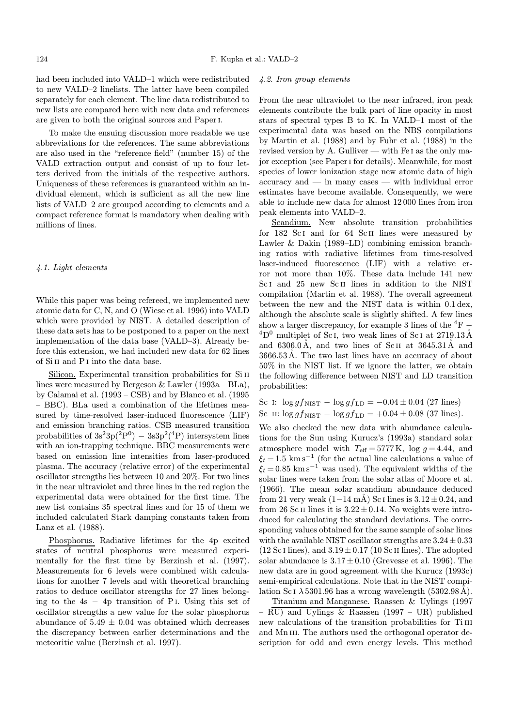had been included into VALD–1 which were redistributed to new VALD–2 linelists. The latter have been compiled separately for each element. The line data redistributed to new lists are compared here with new data and references are given to both the original sources and Paperi.

To make the ensuing discussion more readable we use abbreviations for the references. The same abbreviations are also used in the "reference field" (number 15) of the VALD extraction output and consist of up to four letters derived from the initials of the respective authors. Uniqueness of these references is guaranteed within an individual element, which is sufficient as all the new line lists of VALD–2 are grouped according to elements and a compact reference format is mandatory when dealing with millions of lines.

## 4.1. Light elements

While this paper was being refereed, we implemented new atomic data for C, N, and O (Wiese et al. 1996) into VALD which were provided by NIST. A detailed description of these data sets has to be postponed to a paper on the next implementation of the data base (VALD–3). Already before this extension, we had included new data for 62 lines of Si II and P<sub>I</sub> into the data base.

Silicon. Experimental transition probabilities for Si II lines were measured by Bergeson  $\&$  Lawler (1993a – BLa), by Calamai et al. (1993 – CSB) and by Blanco et al. (1995 – BBC). BLa used a combination of the lifetimes measured by time-resolved laser-induced fluorescence (LIF) and emission branching ratios. CSB measured transition probabilities of  $3s^23p(^2P^0) - 3s^2p^2(^4P)$  intersystem lines with an ion-trapping technique. BBC measurements were based on emission line intensities from laser-produced plasma. The accuracy (relative error) of the experimental oscillator strengths lies between 10 and 20%. For two lines in the near ultraviolet and three lines in the red region the experimental data were obtained for the first time. The new list contains 35 spectral lines and for 15 of them we included calculated Stark damping constants taken from Lanz et al. (1988).

Phosphorus. Radiative lifetimes for the 4p excited states of neutral phosphorus were measured experimentally for the first time by Berzinsh et al. (1997). Measurements for 6 levels were combined with calculations for another 7 levels and with theoretical branching ratios to deduce oscillator strengths for 27 lines belonging to the  $4s - 4p$  transition of P<sub>I</sub>. Using this set of oscillator strengths a new value for the solar phosphorus abundance of  $5.49 \pm 0.04$  was obtained which decreases the discrepancy between earlier determinations and the meteoritic value (Berzinsh et al. 1997).

#### 4.2. Iron group elements

From the near ultraviolet to the near infrared, iron peak elements contribute the bulk part of line opacity in most stars of spectral types B to K. In VALD–1 most of the experimental data was based on the NBS compilations by Martin et al. (1988) and by Fuhr et al. (1988) in the revised version by A. Gulliver — with Fe i as the only major exception (see Paperi for details). Meanwhile, for most species of lower ionization stage new atomic data of high accuracy and — in many cases — with individual error estimates have become available. Consequently, we were able to include new data for almost 12 000 lines from iron peak elements into VALD–2.

Scandium. New absolute transition probabilities for 182 Sc<sub>I</sub> and for 64 Sc<sub>II</sub> lines were measured by Lawler & Dakin (1989–LD) combining emission branching ratios with radiative lifetimes from time-resolved laser-induced fluorescence (LIF) with a relative error not more than 10%. These data include 141 new Sc<sub>I</sub> and 25 new Sc<sub>II</sub> lines in addition to the NIST compilation (Martin et al. 1988). The overall agreement between the new and the NIST data is within 0.1 dex, although the absolute scale is slightly shifted. A few lines show a larger discrepancy, for example 3 lines of the  ${}^{4}$ F −  ${}^{4}D^{0}$  multiplet of Sc<sub>I</sub>, two weak lines of Sc<sub>I</sub> at 2719.13 Å and  $6306.0\text{Å}$ , and two lines of Sc II at  $3645.31\text{Å}$  and  $3666.53\text{\AA}$ . The two last lines have an accuracy of about 50% in the NIST list. If we ignore the latter, we obtain the following difference between NIST and LD transition probabilities:

Sc I: 
$$
\log gf_{\text{NIST}} - \log gf_{\text{LD}} = -0.04 \pm 0.04
$$
 (27 lines)  
Sc II:  $\log gf_{\text{NIST}} - \log gf_{\text{LD}} = +0.04 \pm 0.08$  (37 lines).

We also checked the new data with abundance calculations for the Sun using Kurucz's (1993a) standard solar atmosphere model with  $T_{\text{eff}} = 5777 \text{ K}$ , log  $g = 4.44$ , and  $\xi_t = 1.5$  km s<sup>-1</sup> (for the actual line calculations a value of  $\xi_t = 0.85$  km s<sup>-1</sup> was used). The equivalent widths of the solar lines were taken from the solar atlas of Moore et al. (1966). The mean solar scandium abundance deduced from 21 very weak  $(1-14 \text{ mA})$  Sc I lines is  $3.12 \pm 0.24$ , and from 26 Sc II lines it is  $3.22 \pm 0.14$ . No weights were introduced for calculating the standard deviations. The corresponding values obtained for the same sample of solar lines with the available NIST oscillator strengths are  $3.24 \pm 0.33$  $(12 \text{ Sc } I \text{ lines})$ , and  $3.19 \pm 0.17$  (10 Sc II lines). The adopted solar abundance is  $3.17 \pm 0.10$  (Grevesse et al. 1996). The new data are in good agreement with the Kurucz (1993c) semi-empirical calculations. Note that in the NIST compilation Sc I  $\lambda$  5301.96 has a wrong wavelength (5302.98Å).

Titanium and Manganese. Raassen & Uylings (1997  $-$  RU) and Uylings & Raassen (1997 – UR) published new calculations of the transition probabilities for Ti III and Mn III. The authors used the orthogonal operator description for odd and even energy levels. This method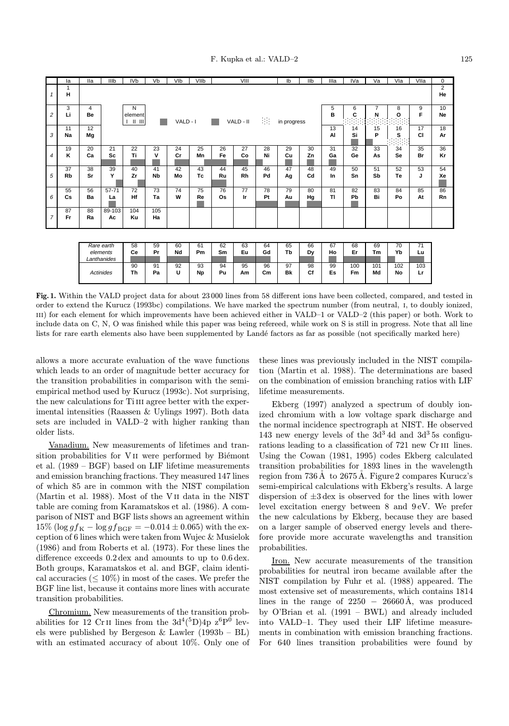|                  | la               | <b>Ila</b> | IIIb                                                                                                                              | IV <sub>b</sub> | Vb              | VIb      | VIIb     | VIII     |           |               | Ib              | IIb      | Illa            | IVa       | Va        | Vla                  | VIIa      | 0               |
|------------------|------------------|------------|-----------------------------------------------------------------------------------------------------------------------------------|-----------------|-----------------|----------|----------|----------|-----------|---------------|-----------------|----------|-----------------|-----------|-----------|----------------------|-----------|-----------------|
| $\mathbf{1}$     | H                |            |                                                                                                                                   |                 |                 |          |          |          |           |               |                 |          |                 |           |           | $\overline{2}$<br>He |           |                 |
| $\overline{c}$   | 3<br>Li          | 4<br>Be    | N<br>$\overline{7}$<br>5<br>6<br>8<br>B<br>C<br>N<br>O<br>element<br>98.<br>VALD - II<br>VALD - I<br>in progress<br>$   \cdot   $ |                 |                 |          |          |          |           |               |                 | 9<br>F   | 10<br><b>Ne</b> |           |           |                      |           |                 |
| $\mathfrak{Z}$   | 11<br>Na         | 12<br>Mg   | 13<br>15<br>16<br>14<br>Si<br>P<br>s<br>AI                                                                                        |                 |                 |          |          |          |           |               |                 |          | 17<br><b>CI</b> | 18<br>Ar  |           |                      |           |                 |
| $\boldsymbol{4}$ | 19<br>κ          | 20<br>Ca   | 21<br>Sc                                                                                                                          | 22<br>Ti        | 23<br>٧         | 24<br>Cr | 25<br>Mn | 26<br>Fe | 27<br>Co  | 28<br>Ni      | 29<br>Cu        | 30<br>Zn | 31<br>Ga        | 32<br>Ge  | 33<br>As  | 34<br>Se             | 35<br>Br  | 36<br>Kr        |
| 5                | 37<br><b>Rb</b>  | 38<br>Sr   | 39<br>Y                                                                                                                           | 40<br>Zr        | 41<br><b>Nb</b> | 42<br>Mo | 43<br>Tc | 44<br>Ru | 45<br>Rh  | 46<br>Pd      | 47<br>Ag        | 48<br>Cd | 49<br>In        | 50<br>Sn  | 51<br>Sb  | 52<br>Te             | 53<br>J   | 54<br>Xe        |
| 6                | 55<br>Cs         | 56<br>Ba   | 57-71<br>La                                                                                                                       | 72<br>Hf        | 73<br>Ta        | 74<br>w  | 75<br>Re | 76<br>Os | 77<br>lr. | 78<br>Pt      | 79<br>Au        | 80<br>Hg | 81<br><b>TI</b> | 82<br>Pb  | 83<br>Bi  | 84<br>Po             | 85<br>At  | 86<br><b>Rn</b> |
| $\overline{7}$   | 87<br>Fr         | 88<br>Ra   | 89-103<br>Ac                                                                                                                      | 104<br>Ku       | 105<br>Ha       |          |          |          |           |               |                 |          |                 |           |           |                      |           |                 |
|                  |                  |            |                                                                                                                                   |                 |                 |          |          |          |           |               |                 |          |                 |           |           |                      |           |                 |
|                  |                  |            | Rare earth<br>elements<br>Lanthanides                                                                                             | 58<br>Ce        | 59<br>Pr        | 60<br>Nd | 61<br>Pm | 62<br>Sm | 63<br>Eu  | 64<br>Gd      | 65<br>Tb        | 66<br>Dy | 67<br>Ho        | 68<br>Er  | 69<br>Tm  | 70<br>Yb             | 71<br>Lu  |                 |
|                  | <b>Actinides</b> |            |                                                                                                                                   | 90<br>Th        | 91<br>Pa        | 92<br>U  | 93<br>Np | 94<br>Pu | 95<br>Am  | 96<br>$c_{m}$ | 97<br><b>Bk</b> | 98<br>Cf | 99<br>Es        | 100<br>Fm | 101<br>Md | 102<br>No            | 103<br>Lr |                 |

Fig. 1. Within the VALD project data for about 23 000 lines from 58 different ions have been collected, compared, and tested in order to extend the Kurucz (1993bc) compilations. We have marked the spectrum number (from neutral, i, to doubly ionized, iii) for each element for which improvements have been achieved either in VALD–1 or VALD–2 (this paper) or both. Work to include data on C, N, O was finished while this paper was being refereed, while work on S is still in progress. Note that all line lists for rare earth elements also have been supplemented by Landé factors as far as possible (not specifically marked here)

allows a more accurate evaluation of the wave functions which leads to an order of magnitude better accuracy for the transition probabilities in comparison with the semiempirical method used by Kurucz (1993c). Not surprising, the new calculations for Ti III agree better with the experimental intensities (Raassen & Uylings 1997). Both data sets are included in VALD–2 with higher ranking than older lists.

Vanadium. New measurements of lifetimes and transition probabilities for VII were performed by Biémont et al. (1989 – BGF) based on LIF lifetime measurements and emission branching fractions. They measured 147 lines of which 85 are in common with the NIST compilation (Martin et al. 1988). Most of the V ii data in the NIST table are coming from Karamatskos et al. (1986). A comparison of NIST and BGF lists shows an agreement within  $15\%$  (log  $gf_{\rm K} - \log gf_{\rm BGF} = -0.014 \pm 0.065)$  with the exception of 6 lines which were taken from Wujec & Musielok (1986) and from Roberts et al. (1973). For these lines the difference exceeds 0.2 dex and amounts to up to 0.6 dex. Both groups, Karamatskos et al. and BGF, claim identical accuracies ( $\leq 10\%$ ) in most of the cases. We prefer the BGF line list, because it contains more lines with accurate transition probabilities.

Chromium. New measurements of the transition probabilities for 12 Cr<sub>II</sub> lines from the  $3d^4(^5D)4p \; z^6P^0$  levels were published by Bergeson & Lawler (1993b – BL) with an estimated accuracy of about 10%. Only one of these lines was previously included in the NIST compilation (Martin et al. 1988). The determinations are based on the combination of emission branching ratios with LIF lifetime measurements.

Ekberg (1997) analyzed a spectrum of doubly ionized chromium with a low voltage spark discharge and the normal incidence spectrograph at NIST. He observed 143 new energy levels of the  $3d<sup>3</sup> 4d$  and  $3d<sup>3</sup> 5s$  configurations leading to a classification of 721 new Cr III lines. Using the Cowan (1981, 1995) codes Ekberg calculated transition probabilities for 1893 lines in the wavelength region from  $736 \text{\AA}$  to  $2675 \text{\AA}$ . Figure 2 compares Kurucz's semi-empirical calculations with Ekberg's results. A large dispersion of  $\pm 3 \,\text{dex}$  is observed for the lines with lower level excitation energy between 8 and 9 eV. We prefer the new calculations by Ekberg, because they are based on a larger sample of observed energy levels and therefore provide more accurate wavelengths and transition probabilities.

Iron. New accurate measurements of the transition probabilities for neutral iron became available after the NIST compilation by Fuhr et al. (1988) appeared. The most extensive set of measurements, which contains 1814 lines in the range of  $2250 - 26660$ Å, was produced by O'Brian et al. (1991 – BWL) and already included into VALD–1. They used their LIF lifetime measurements in combination with emission branching fractions. For 640 lines transition probabilities were found by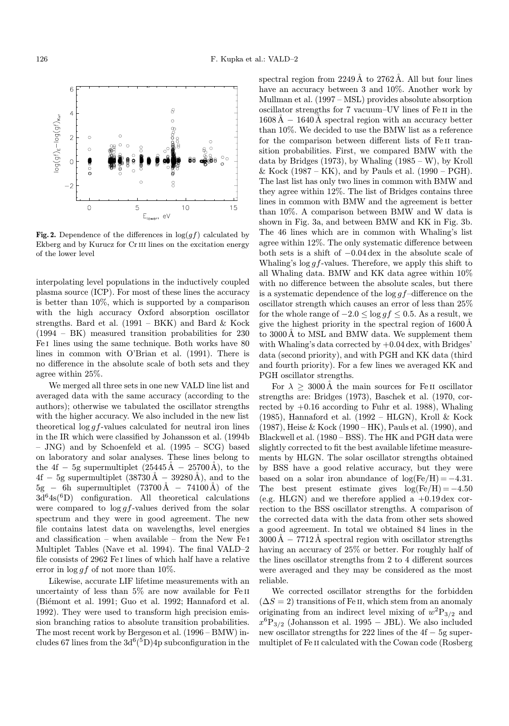

Fig. 2. Dependence of the differences in  $log(gf)$  calculated by Ekberg and by Kurucz for Cr III lines on the excitation energy of the lower level

interpolating level populations in the inductively coupled plasma source (ICP). For most of these lines the accuracy is better than 10%, which is supported by a comparison with the high accuracy Oxford absorption oscillator strengths. Bard et al. (1991 – BKK) and Bard & Kock (1994 – BK) measured transition probabilities for 230 Fe<sub>I</sub> lines using the same technique. Both works have 80 lines in common with O'Brian et al. (1991). There is no difference in the absolute scale of both sets and they agree within 25%.

We merged all three sets in one new VALD line list and averaged data with the same accuracy (according to the authors); otherwise we tabulated the oscillator strengths with the higher accuracy. We also included in the new list theoretical  $\log gf$ -values calculated for neutral iron lines in the IR which were classified by Johansson et al. (1994b – JNG) and by Schoenfeld et al. (1995 – SCG) based on laboratory and solar analyses. These lines belong to the 4f – 5g supermultiplet  $(25445\text{Å} - 25700\text{Å})$ , to the  $4f - 5g$  supermultiplet  $(38730 \text{ Å} - 39280 \text{ Å})$ , and to the  $5g - 6h$  supermultiplet  $(73700\text{\AA} - 74100\text{\AA})$  of the  $3d^{6}4s^{6}D$  configuration. All theoretical calculations were compared to  $\log gf$ -values derived from the solar spectrum and they were in good agreement. The new file contains latest data on wavelengths, level energies and classification – when available – from the New Fe i Multiplet Tables (Nave et al. 1994). The final VALD–2 file consists of 2962 Fe i lines of which half have a relative error in  $\log gf$  of not more than 10%.

Likewise, accurate LIF lifetime measurements with an uncertainty of less than 5% are now available for Fe II (Biémont et al. 1991; Guo et al. 1992; Hannaford et al. 1992). They were used to transform high precision emission branching ratios to absolute transition probabilities. The most recent work by Bergeson et al. (1996 – BMW) includes 67 lines from the  $3d^{6}$ <sup>(5</sup>D)<sup>4</sup>p subconfiguration in the spectral region from  $2249\text{\AA}$  to  $2762\text{\AA}$ . All but four lines have an accuracy between 3 and 10%. Another work by Mullman et al. (1997 – MSL) provides absolute absorption oscillator strengths for 7 vacuum–UV lines of Fe ii in the  $1608\text{\AA} - 1640\text{\AA}$  spectral region with an accuracy better than 10%. We decided to use the BMW list as a reference for the comparison between different lists of Fe ii transition probabilities. First, we compared BMW with the data by Bridges  $(1973)$ , by Whaling  $(1985 - W)$ , by Kroll & Kock (1987 – KK), and by Pauls et al. (1990 – PGH). The last list has only two lines in common with BMW and they agree within 12%. The list of Bridges contains three lines in common with BMW and the agreement is better than 10%. A comparison between BMW and W data is shown in Fig. 3a, and between BMW and KK in Fig. 3b. The 46 lines which are in common with Whaling's list agree within 12%. The only systematic difference between both sets is a shift of −0.04 dex in the absolute scale of Whaling's  $\log gf$ -values. Therefore, we apply this shift to all Whaling data. BMW and KK data agree within 10% with no difference between the absolute scales, but there is a systematic dependence of the  $\log gf$ -difference on the oscillator strength which causes an error of less than 25% for the whole range of  $-2.0 \le \log gf \le 0.5$ . As a result, we give the highest priority in the spectral region of  $1600\,\text{\AA}$ to 3000 Å to MSL and BMW data. We supplement them with Whaling's data corrected by  $+0.04$  dex, with Bridges' data (second priority), and with PGH and KK data (third and fourth priority). For a few lines we averaged KK and PGH oscillator strengths.

For  $\lambda \geq 3000 \text{\AA}$  the main sources for Fe II oscillator strengths are: Bridges (1973), Baschek et al. (1970, corrected by  $+0.16$  according to Fuhr et al. 1988), Whaling (1985), Hannaford et al. (1992 – HLGN), Kroll & Kock (1987), Heise & Kock (1990 – HK), Pauls et al. (1990), and Blackwell et al. (1980 – BSS). The HK and PGH data were slightly corrected to fit the best available lifetime measurements by HLGN. The solar oscillator strengths obtained by BSS have a good relative accuracy, but they were based on a solar iron abundance of  $log(Fe/H) = -4.31$ . The best present estimate gives  $log(Fe/H) = -4.50$ (e.g. HLGN) and we therefore applied a  $+0.19 \,\text{dex}$  correction to the BSS oscillator strengths. A comparison of the corrected data with the data from other sets showed a good agreement. In total we obtained 84 lines in the  $3000\text{\AA} - 7712\text{\AA}$  spectral region with oscillator strengths having an accuracy of 25% or better. For roughly half of the lines oscillator strengths from 2 to 4 different sources were averaged and they may be considered as the most reliable.

We corrected oscillator strengths for the forbidden  $(\Delta S = 2)$  transitions of Fe II, which stem from an anomaly originating from an indirect level mixing of  $w^2P_{3/2}$  and  $x^{6}P_{3/2}$  (Johansson et al. 1995 – JBL). We also included new oscillator strengths for 222 lines of the 4f − 5g supermultiplet of Fe ii calculated with the Cowan code (Rosberg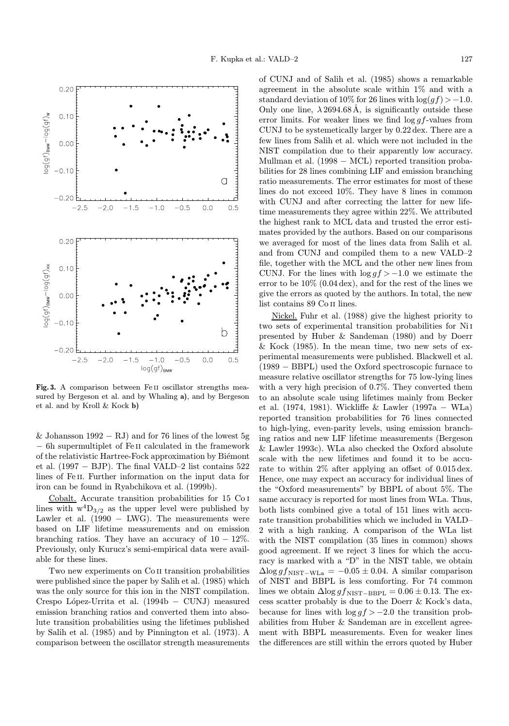

Fig. 3. A comparison between Fe<sub>II</sub> oscillator strengths measured by Bergeson et al. and by Whaling a), and by Bergeson et al. and by Kroll & Kock b)

& Johansson  $1992 - RJ$  and for 76 lines of the lowest 5g − 6h supermultiplet of Fe ii calculated in the framework of the relativistic Hartree-Fock approximation by Biémont et al. (1997 – BJP). The final VALD–2 list contains  $522$ lines of Fe II. Further information on the input data for iron can be found in Ryabchikova et al. (1999b).

Cobalt. Accurate transition probabilities for 15 Co i lines with  $w^4D_{3/2}$  as the upper level were published by Lawler et al.  $(1990 - LWG)$ . The measurements were based on LIF lifetime measurements and on emission branching ratios. They have an accuracy of  $10 - 12\%$ . Previously, only Kurucz's semi-empirical data were available for these lines.

Two new experiments on Co II transition probabilities were published since the paper by Salih et al. (1985) which was the only source for this ion in the NIST compilation. Crespo López-Urrita et al.  $(1994b - CUNJ)$  measured emission branching ratios and converted them into absolute transition probabilities using the lifetimes published by Salih et al. (1985) and by Pinnington et al. (1973). A comparison between the oscillator strength measurements of CUNJ and of Salih et al. (1985) shows a remarkable agreement in the absolute scale within 1% and with a standard deviation of 10% for 26 lines with  $\log(qf) > -1.0$ . Only one line,  $\lambda 2694.68$ Å, is significantly outside these error limits. For weaker lines we find  $\log qf$ -values from CUNJ to be systemetically larger by 0.22 dex. There are a few lines from Salih et al. which were not included in the NIST compilation due to their apparently low accuracy. Mullman et al. (1998 − MCL) reported transition probabilities for 28 lines combining LIF and emission branching ratio measurements. The error estimates for most of these lines do not exceed 10%. They have 8 lines in common with CUNJ and after correcting the latter for new lifetime measurements they agree within 22%. We attributed the highest rank to MCL data and trusted the error estimates provided by the authors. Based on our comparisons we averaged for most of the lines data from Salih et al. and from CUNJ and compiled them to a new VALD–2 file, together with the MCL and the other new lines from CUNJ. For the lines with  $\log qf > -1.0$  we estimate the error to be  $10\%$  (0.04 dex), and for the rest of the lines we give the errors as quoted by the authors. In total, the new list contains 89 Co ii lines.

Nickel. Fuhr et al. (1988) give the highest priority to two sets of experimental transition probabilities for Ni i presented by Huber & Sandeman (1980) and by Doerr & Kock (1985). In the mean time, two new sets of experimental measurements were published. Blackwell et al. (1989 − BBPL) used the Oxford spectroscopic furnace to measure relative oscillator strengths for 75 low-lying lines with a very high precision of 0.7%. They converted them to an absolute scale using lifetimes mainly from Becker et al. (1974, 1981). Wickliffe & Lawler (1997a − WLa) reported transition probabilities for 76 lines connected to high-lying, even-parity levels, using emission branching ratios and new LIF lifetime measurements (Bergeson & Lawler 1993c). WLa also checked the Oxford absolute scale with the new lifetimes and found it to be accurate to within 2% after applying an offset of 0.015 dex. Hence, one may expect an accuracy for individual lines of the "Oxford measurements" by BBPL of about 5%. The same accuracy is reported for most lines from WLa. Thus, both lists combined give a total of 151 lines with accurate transition probabilities which we included in VALD– 2 with a high ranking. A comparison of the WLa list with the NIST compilation (35 lines in common) shows good agreement. If we reject 3 lines for which the accuracy is marked with a "D" in the NIST table, we obtain  $\Delta$ log gf<sub>NIST−WLa</sub> = −0.05 ± 0.04. A similar comparison of NIST and BBPL is less comforting. For 74 common lines we obtain  $\Delta$ log  $gf_{\text{NIST-BBPL}} = 0.06 \pm 0.13$ . The excess scatter probably is due to the Doerr & Kock's data, because for lines with  $\log gf > -2.0$  the transition probabilities from Huber & Sandeman are in excellent agreement with BBPL measurements. Even for weaker lines the differences are still within the errors quoted by Huber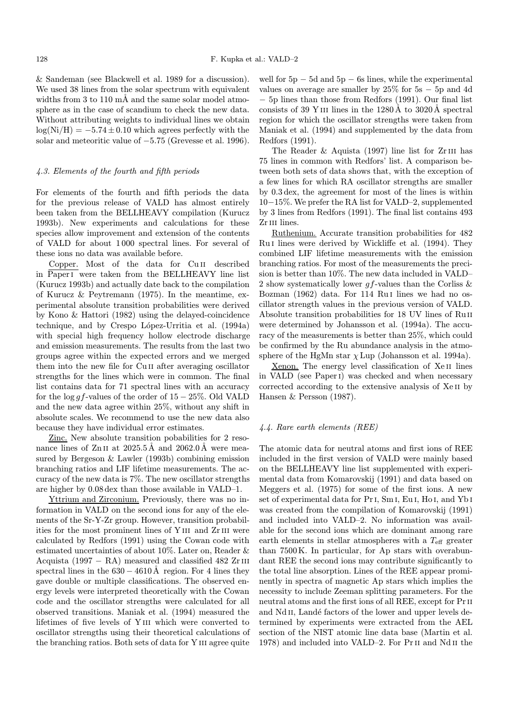& Sandeman (see Blackwell et al. 1989 for a discussion). We used 38 lines from the solar spectrum with equivalent widths from 3 to 110  $m\AA$  and the same solar model atmosphere as in the case of scandium to check the new data. Without attributing weights to individual lines we obtain  $log(Ni/H) = -5.74 \pm 0.10$  which agrees perfectly with the solar and meteoritic value of −5.75 (Grevesse et al. 1996).

### 4.3. Elements of the fourth and fifth periods

For elements of the fourth and fifth periods the data for the previous release of VALD has almost entirely been taken from the BELLHEAVY compilation (Kurucz 1993b). New experiments and calculations for these species allow improvement and extension of the contents of VALD for about 1 000 spectral lines. For several of these ions no data was available before.

Copper. Most of the data for Cu II described in Paperi were taken from the BELLHEAVY line list (Kurucz 1993b) and actually date back to the compilation of Kurucz & Peytremann (1975). In the meantime, experimental absolute transition probabilities were derived by Kono & Hattori (1982) using the delayed-coincidence technique, and by Crespo López-Urritia et al. (1994a) with special high frequency hollow electrode discharge and emission measurements. The results from the last two groups agree within the expected errors and we merged them into the new file for Cu ii after averaging oscillator strengths for the lines which were in common. The final list contains data for 71 spectral lines with an accuracy for the log gf-values of the order of  $15-25\%$ . Old VALD and the new data agree within 25%, without any shift in absolute scales. We recommend to use the new data also because they have individual error estimates.

Zinc. New absolute transition pobabilities for 2 resonance lines of  $Zn$  II at 2025.5Å and 2062.0Å were measured by Bergeson & Lawler (1993b) combining emission branching ratios and LIF lifetime measurements. The accuracy of the new data is 7%. The new oscillator strengths are higher by 0.08 dex than those available in VALD–1.

Yttrium and Zirconium. Previously, there was no information in VALD on the second ions for any of the elements of the Sr-Y-Zr group. However, transition probabilities for the most prominent lines of Y<sub>III</sub> and Z<sub>rIII</sub> were calculated by Redfors (1991) using the Cowan code with estimated uncertainties of about 10%. Later on, Reader & Acquista (1997 – RA) measured and classified 482  $Zr$  III spectral lines in the  $630 - 4610$ Å region. For 4 lines they gave double or multiple classifications. The observed energy levels were interpreted theoretically with the Cowan code and the oscillator strengths were calculated for all observed transitions. Maniak et al. (1994) measured the lifetimes of five levels of Y iii which were converted to oscillator strengths using their theoretical calculations of the branching ratios. Both sets of data for Y III agree quite

well for  $5p - 5d$  and  $5p - 6s$  lines, while the experimental values on average are smaller by  $25\%$  for  $5s - 5p$  and 4d − 5p lines than those from Redfors (1991). Our final list consists of 39 Y III lines in the  $1280\text{\AA}$  to  $3020\text{\AA}$  spectral region for which the oscillator strengths were taken from Maniak et al. (1994) and supplemented by the data from Redfors (1991).

The Reader  $\&$  Aquista (1997) line list for Zr<sub>III</sub> has 75 lines in common with Redfors' list. A comparison between both sets of data shows that, with the exception of a few lines for which RA oscillator strengths are smaller by 0.3 dex, the agreement for most of the lines is within 10−15%. We prefer the RA list for VALD–2, supplemented by 3 lines from Redfors (1991). The final list contains 493 Zr<sub>III</sub> lines.

Ruthenium. Accurate transition probabilities for 482 Ru I lines were derived by Wickliffe et al.  $(1994)$ . They combined LIF lifetime measurements with the emission branching ratios. For most of the measurements the precision is better than 10%. The new data included in VALD– 2 show systematically lower  $gf$ -values than the Corliss  $\&$ Bozman (1962) data. For 114 Ru<sub>I</sub> lines we had no oscillator strength values in the previous version of VALD. Absolute transition probabilities for 18 UV lines of Ruii were determined by Johansson et al. (1994a). The accuracy of the measurements is better than 25%, which could be confirmed by the Ru abundance analysis in the atmosphere of the HgMn star  $\chi$  Lup (Johansson et al. 1994a).

Xenon. The energy level classification of Xe<sub>II</sub> lines in VALD (see Paperi) was checked and when necessary corrected according to the extensive analysis of Xe ii by Hansen & Persson (1987).

#### 4.4. Rare earth elements (REE)

The atomic data for neutral atoms and first ions of REE included in the first version of VALD were mainly based on the BELLHEAVY line list supplemented with experimental data from Komarovskij (1991) and data based on Meggers et al. (1975) for some of the first ions. A new set of experimental data for Pri, Sm i, Eu i, Ho i, and Yb i was created from the compilation of Komarovskij (1991) and included into VALD–2. No information was available for the second ions which are dominant among rare earth elements in stellar atmospheres with a  $T_{\text{eff}}$  greater than 7500 K. In particular, for Ap stars with overabundant REE the second ions may contribute significantly to the total line absorption. Lines of the REE appear prominently in spectra of magnetic Ap stars which implies the necessity to include Zeeman splitting parameters. For the neutral atoms and the first ions of all REE, except for  $Pr$  II and Nd II, Landé factors of the lower and upper levels determined by experiments were extracted from the AEL section of the NIST atomic line data base (Martin et al. 1978) and included into VALD–2. For Prii and Nd ii the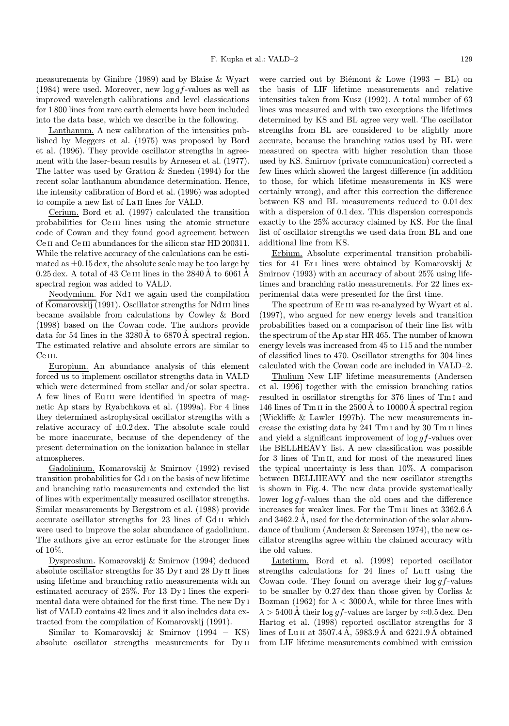measurements by Ginibre (1989) and by Blaise & Wyart (1984) were used. Moreover, new  $\log qf$ -values as well as improved wavelength calibrations and level classications for 1 800 lines from rare earth elements have been included into the data base, which we describe in the following.

Lanthanum. A new calibration of the intensities published by Meggers et al. (1975) was proposed by Bord et al. (1996). They provide oscillator strengths in agreement with the laser-beam results by Arnesen et al. (1977). The latter was used by Gratton & Sneden (1994) for the recent solar lanthanum abundance determination. Hence, the intensity calibration of Bord et al. (1996) was adopted to compile a new list of La<sub>II</sub> lines for VALD.

Cerium. Bord et al. (1997) calculated the transition probabilities for Ce III lines using the atomic structure code of Cowan and they found good agreement between Ce II and Ce III abundances for the silicon star HD 200311. While the relative accuracy of the calculations can be estimated as  $\pm 0.15$  dex, the absolute scale may be too large by  $0.25 \,\text{dex}$ . A total of 43 Ce III lines in the  $2840 \text{Å}$  to  $6061 \text{Å}$ spectral region was added to VALD.

Neodymium. For Nd i we again used the compilation of Komarovskij (1991). Oscillator strengths for Nd<sub>III</sub> lines became available from calculations by Cowley & Bord (1998) based on the Cowan code. The authors provide data for 54 lines in the  $3280\text{\AA}$  to  $6870\text{\AA}$  spectral region. The estimated relative and absolute errors are similar to Ce III.

Europium. An abundance analysis of this element forced us to implement oscillator strengths data in VALD which were determined from stellar and/or solar spectra. A few lines of EuIII were identified in spectra of magnetic Ap stars by Ryabchkova et al. (1999a). For 4 lines they determined astrophysical oscillator strengths with a relative accuracy of  $\pm 0.2 \,\text{dex}$ . The absolute scale could be more inaccurate, because of the dependency of the present determination on the ionization balance in stellar atmospheres.

Gadolinium. Komarovskij & Smirnov (1992) revised transition probabilities for Gd i on the basis of new lifetime and branching ratio measurements and extended the list of lines with experimentally measured oscillator strengths. Similar measurements by Bergstrom et al. (1988) provide accurate oscillator strengths for 23 lines of Gd ii which were used to improve the solar abundance of gadolinium. The authors give an error estimate for the stronger lines of 10%.

Dysprosium. Komarovskij & Smirnov (1994) deduced absolute oscillator strengths for 35 Dy i and 28 Dy ii lines using lifetime and branching ratio measurements with an estimated accuracy of 25%. For 13 Dy i lines the experimental data were obtained for the first time. The new Dy i list of VALD contains 42 lines and it also includes data extracted from the compilation of Komarovskij (1991).

Similar to Komarovskij & Smirnov (1994 − KS) absolute oscillator strengths measurements for Dy ii were carried out by Biémont & Lowe (1993 – BL) on the basis of LIF lifetime measurements and relative intensities taken from Kusz (1992). A total number of 63 lines was measured and with two exceptions the lifetimes determined by KS and BL agree very well. The oscillator strengths from BL are considered to be slightly more accurate, because the branching ratios used by BL were measured on spectra with higher resolution than those used by KS. Smirnov (private communication) corrected a few lines which showed the largest difference (in addition to those, for which lifetime measurements in KS were certainly wrong), and after this correction the difference between KS and BL measurements reduced to 0.01 dex with a dispersion of 0.1 dex. This dispersion corresponds exactly to the 25% accuracy claimed by KS. For the final list of oscillator strengths we used data from BL and one additional line from KS.

Erbium. Absolute experimental transition probabilities for 41 Eri lines were obtained by Komarovskij & Smirnov (1993) with an accuracy of about 25% using lifetimes and branching ratio measurements. For 22 lines experimental data were presented for the first time.

The spectrum of Er III was re-analyzed by Wyart et al. (1997), who argued for new energy levels and transition probabilities based on a comparison of their line list with the spectrum of the Ap star HR 465. The number of known energy levels was increased from 45 to 115 and the number of classified lines to 470. Oscillator strengths for 304 lines calculated with the Cowan code are included in VALD–2.

Thulium New LIF lifetime measurements (Andersen et al. 1996) together with the emission branching ratios resulted in oscillator strengths for 376 lines of Tm i and 146 lines of Tm II in the 2500 Å to 10000 Å spectral region (Wickliffe & Lawler 1997b). The new measurements increase the existing data by 241 Tm i and by 30 Tm ii lines and yield a significant improvement of  $\log qf$ -values over the BELLHEAVY list. A new classification was possible for 3 lines of Tm II, and for most of the measured lines the typical uncertainty is less than 10%. A comparison between BELLHEAVY and the new oscillator strengths is shown in Fig. 4. The new data provide systematically lower  $\log gf$ -values than the old ones and the difference increases for weaker lines. For the Tm II lines at  $3362.6 \text{ Å}$ and 3462.2Å, used for the determination of the solar abundance of thulium (Andersen & Sørensen 1974), the new oscillator strengths agree within the claimed accuracy with the old values.

Lutetium. Bord et al. (1998) reported oscillator strengths calculations for 24 lines of Lu<sub>II</sub> using the Cowan code. They found on average their  $\log gf$ -values to be smaller by  $0.27 \text{ dex}$  than those given by Corliss  $\&$ Bozman (1962) for  $\lambda < 3000$  Å, while for three lines with  $\lambda > 5400$  Å their log g f-values are larger by  $\approx 0.5$  dex. Den Hartog et al. (1998) reported oscillator strengths for 3 lines of Lu<sub>II</sub> at  $3507.4\text{ Å}$ ,  $5983.9\text{ Å}$  and  $6221.9\text{ Å}$  obtained from LIF lifetime measurements combined with emission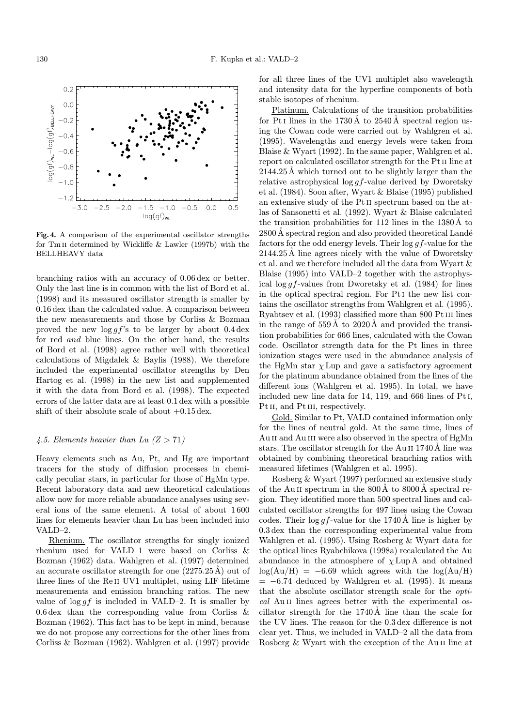

Fig. 4. A comparison of the experimental oscillator strengths for Tm ii determined by Wickliffe & Lawler (1997b) with the BELLHEAVY data

branching ratios with an accuracy of 0.06 dex or better. Only the last line is in common with the list of Bord et al. (1998) and its measured oscillator strength is smaller by 0.16 dex than the calculated value. A comparison between the new measurements and those by Corliss & Bozman proved the new  $\log gf$ 's to be larger by about 0.4 dex for red and blue lines. On the other hand, the results of Bord et al. (1998) agree rather well with theoretical calculations of Migdalek & Baylis (1988). We therefore included the experimental oscillator strengths by Den Hartog et al. (1998) in the new list and supplemented it with the data from Bord et al. (1998). The expected errors of the latter data are at least 0.1 dex with a possible shift of their absolute scale of about  $+0.15 \,\text{dex}$ .

## 4.5. Elements heavier than Lu  $(Z > 71)$

Heavy elements such as Au, Pt, and Hg are important tracers for the study of diffusion processes in chemically peculiar stars, in particular for those of HgMn type. Recent laboratory data and new theoretical calculations allow now for more reliable abundance analyses using several ions of the same element. A total of about 1 600 lines for elements heavier than Lu has been included into VALD–2.

Rhenium. The oscillator strengths for singly ionized rhenium used for VALD–1 were based on Corliss & Bozman (1962) data. Wahlgren et al. (1997) determined an accurate oscillator strength for one  $(2275.25\text{A})$  out of three lines of the Re ii UV1 multiplet, using LIF lifetime measurements and emission branching ratios. The new value of  $\log gf$  is included in VALD–2. It is smaller by 0.6 dex than the corresponding value from Corliss & Bozman (1962). This fact has to be kept in mind, because we do not propose any corrections for the other lines from Corliss & Bozman (1962). Wahlgren et al. (1997) provide

for all three lines of the UV1 multiplet also wavelength and intensity data for the hyperfine components of both stable isotopes of rhenium.

Platinum. Calculations of the transition probabilities for Pt<sub>I</sub> lines in the 1730 Å to 2540 Å spectral region using the Cowan code were carried out by Wahlgren et al. (1995). Wavelengths and energy levels were taken from Blaise & Wyart (1992). In the same paper, Wahlgren et al. report on calculated oscillator strength for the Pt<sub>II</sub> line at  $2144.25\text{ Å}$  which turned out to be slightly larger than the relative astrophysical  $\log gf$ -value derived by Dworetsky et al. (1984). Soon after, Wyart & Blaise (1995) published an extensive study of the Ptii spectrum based on the atlas of Sansonetti et al. (1992). Wyart & Blaise calculated the transition probabilities for  $112$  lines in the  $1380\text{\AA}$  to  $2800$ Å spectral region and also provided theoretical Landé factors for the odd energy levels. Their log gf-value for the 2144.25 Å line agrees nicely with the value of Dworetsky et al. and we therefore included all the data from Wyart & Blaise (1995) into VALD–2 together with the astrophysical  $\log gf$ -values from Dworetsky et al. (1984) for lines in the optical spectral region. For Pti the new list contains the oscillator strengths from Wahlgren et al. (1995). Ryabtsev et al. (1993) classified more than 800 Pt III lines in the range of  $559 \text{\AA}$  to  $2020 \text{\AA}$  and provided the transition probabilities for 666 lines, calculated with the Cowan code. Oscillator strength data for the Pt lines in three ionization stages were used in the abundance analysis of the HgMn star  $\chi$  Lup and gave a satisfactory agreement for the platinum abundance obtained from the lines of the different ions (Wahlgren et al. 1995). In total, we have included new line data for 14, 119, and 666 lines of Pti, Pt<sub>II</sub>, and P<sub>tIII</sub>, respectively.

Gold. Similar to Pt, VALD contained information only for the lines of neutral gold. At the same time, lines of Au II and Au III were also observed in the spectra of HgMn stars. The oscillator strength for the Au II 1740 Å line was obtained by combining theoretical branching ratios with measured lifetimes (Wahlgren et al. 1995).

Rosberg & Wyart (1997) performed an extensive study of the Au II spectrum in the  $800 \text{\AA}$  to  $8000 \text{\AA}$  spectral region. They identified more than 500 spectral lines and calculated oscillator strengths for 497 lines using the Cowan codes. Their  $\log gf$ -value for the 1740 Å line is higher by 0.3 dex than the corresponding experimental value from Wahlgren et al. (1995). Using Rosberg & Wyart data for the optical lines Ryabchikova (1998a) recalculated the Au abundance in the atmosphere of  $\chi$  Lup A and obtained  $log(Au/H) = -6.69$  which agrees with the  $log(Au/H)$  $= -6.74$  deduced by Wahlgren et al. (1995). It means that the absolute oscillator strength scale for the optical Au II lines agrees better with the experimental oscillator strength for the  $1740\text{\AA}$  line than the scale for the UV lines. The reason for the 0.3 dex difference is not clear yet. Thus, we included in VALD–2 all the data from Rosberg & Wyart with the exception of the Au II line at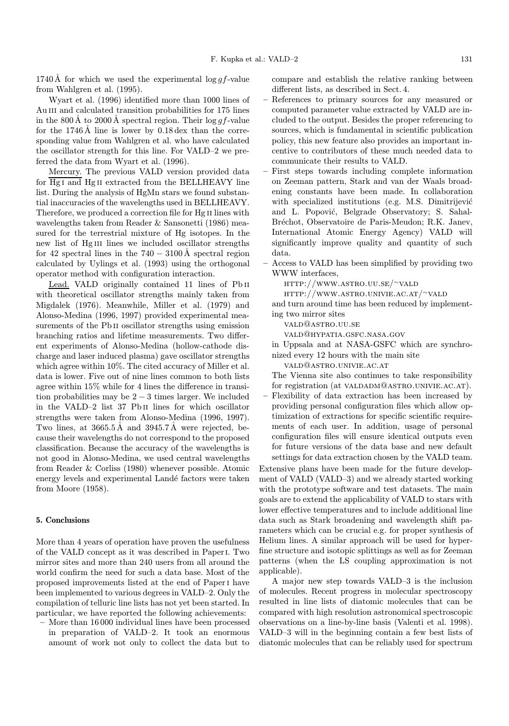1740 Å for which we used the experimental  $\log gf$ -value from Wahlgren et al. (1995).

Wyart et al. (1996) identified more than 1000 lines of Au III and calculated transition probabilities for 175 lines in the 800 Å to 2000 Å spectral region. Their  $\log q f$ -value for the  $1746\text{\AA}$  line is lower by  $0.18\text{ dex}$  than the corresponding value from Wahlgren et al. who have calculated the oscillator strength for this line. For VALD–2 we preferred the data from Wyart et al. (1996).

Mercury. The previous VALD version provided data for Hg i and Hg ii extracted from the BELLHEAVY line list. During the analysis of HgMn stars we found substantial inaccuracies of the wavelengths used in BELLHEAVY. Therefore, we produced a correction file for Hg II lines with wavelengths taken from Reader & Sansonetti (1986) measured for the terrestrial mixture of Hg isotopes. In the new list of Hg III lines we included oscillator strengths for 42 spectral lines in the  $740 - 3100 \text{\AA}$  spectral region calculated by Uylings et al. (1993) using the orthogonal operator method with configuration interaction.

Lead. VALD originally contained 11 lines of Pb II with theoretical oscillator strengths mainly taken from Migdalek (1976). Meanwhile, Miller et al. (1979) and Alonso-Medina (1996, 1997) provided experimental measurements of the Pb<sub>II</sub> oscillator strengths using emission branching ratios and lifetime measurements. Two different experiments of Alonso-Medina (hollow-cathode discharge and laser induced plasma) gave oscillator strengths which agree within 10%. The cited accuracy of Miller et al. data is lower. Five out of nine lines common to both lists agree within 15% while for 4 lines the difference in transition probabilities may be  $2-3$  times larger. We included in the VALD–2 list 37 Pb ii lines for which oscillator strengths were taken from Alonso-Medina (1996, 1997). Two lines, at  $3665.5\text{Å}$  and  $3945.7\text{Å}$  were rejected, because their wavelengths do not correspond to the proposed classification. Because the accuracy of the wavelengths is not good in Alonso-Medina, we used central wavelengths from Reader & Corliss (1980) whenever possible. Atomic energy levels and experimental Landé factors were taken from Moore (1958).

## 5. Conclusions

More than 4 years of operation have proven the usefulness of the VALD concept as it was described in Paperi. Two mirror sites and more than 240 users from all around the world confirm the need for such a data base. Most of the proposed improvements listed at the end of Paperi have been implemented to various degrees in VALD–2. Only the compilation of telluric line lists has not yet been started. In particular, we have reported the following achievements:

– More than 16 000 individual lines have been processed in preparation of VALD–2. It took an enormous amount of work not only to collect the data but to

compare and establish the relative ranking between different lists, as described in Sect. 4.

- References to primary sources for any measured or computed parameter value extracted by VALD are included to the output. Besides the proper referencing to sources, which is fundamental in scientific publication policy, this new feature also provides an important incentive to contributors of these much needed data to communicate their results to VALD.
- First steps towards including complete information on Zeeman pattern, Stark and van der Waals broadening constants have been made. In collaboration with specialized institutions (e.g. M.S. Dimitrijević and L. Popović, Belgrade Observatory; S. Sahal-Bréchot, Observatoire de Paris-Meudon; R.K. Janev, International Atomic Energy Agency) VALD will significantly improve quality and quantity of such data.
- Access to VALD has been simplified by providing two WWW interfaces,
	- http://www.astro.uu.se/∼vald

http://www.astro.univie.ac.at/∼vald

and turn around time has been reduced by implementing two mirror sites

vald@astro.uu.se

vald@hypatia.gsfc.nasa.gov

in Uppsala and at NASA-GSFC which are synchronized every 12 hours with the main site

vald@astro.univie.ac.at

The Vienna site also continues to take responsibility for registration (at VALDADM@ASTRO.UNIVIE.AC.AT).

– Flexibility of data extraction has been increased by providing personal configuration files which allow optimization of extractions for specific scientific requirements of each user. In addition, usage of personal configuration files will ensure identical outputs even for future versions of the data base and new default settings for data extraction chosen by the VALD team.

Extensive plans have been made for the future development of VALD (VALD–3) and we already started working with the prototype software and test datasets. The main goals are to extend the applicability of VALD to stars with lower effective temperatures and to include additional line data such as Stark broadening and wavelength shift parameters which can be crucial e.g. for proper synthesis of Helium lines. A similar approach will be used for hyperfine structure and isotopic splittings as well as for Zeeman patterns (when the LS coupling approximation is not applicable).

A major new step towards VALD–3 is the inclusion of molecules. Recent progress in molecular spectroscopy resulted in line lists of diatomic molecules that can be compared with high resolution astronomical spectroscopic observations on a line-by-line basis (Valenti et al. 1998). VALD–3 will in the beginning contain a few best lists of diatomic molecules that can be reliably used for spectrum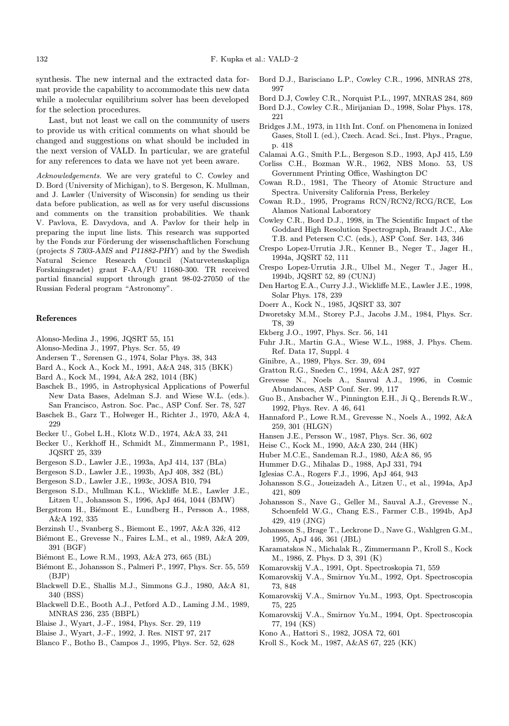synthesis. The new internal and the extracted data format provide the capability to accommodate this new data while a molecular equilibrium solver has been developed for the selection procedures.

Last, but not least we call on the community of users to provide us with critical comments on what should be changed and suggestions on what should be included in the next version of VALD. In particular, we are grateful for any references to data we have not yet been aware.

Acknowledgements. We are very grateful to C. Cowley and D. Bord (University of Michigan), to S. Bergeson, K. Mullman, and J. Lawler (University of Wisconsin) for sending us their data before publication, as well as for very useful discussions and comments on the transition probabilities. We thank V. Pavlova, E. Davydova, and A. Pavlov for their help in preparing the input line lists. This research was supported by the Fonds zur Förderung der wissenschaftlichen Forschung (projects S 7303-AMS and P11882-PHY) and by the Swedish Natural Science Research Council (Naturvetenskapliga Forskningsradet) grant F-AA/FU 11680-300. TR received partial financial support through grant 98-02-27050 of the Russian Federal program "Astronomy".

#### References

- Alonso-Medina J., 1996, JQSRT 55, 151
- Alonso-Medina J., 1997, Phys. Scr. 55, 49
- Andersen T., Sørensen G., 1974, Solar Phys. 38, 343
- Bard A., Kock A., Kock M., 1991, A&A 248, 315 (BKK)
- Bard A., Kock M., 1994, A&A 282, 1014 (BK)
- Baschek B., 1995, in Astrophysical Applications of Powerful New Data Bases, Adelman S.J. and Wiese W.L. (eds.). San Francisco, Astron. Soc. Pac., ASP Conf. Ser. 78, 527
- Baschek B., Garz T., Holweger H., Richter J., 1970, A&A 4, 229
- Becker U., Gobel L.H., Klotz W.D., 1974, A&A 33, 241
- Becker U., Kerkhoff H., Schmidt M., Zimmermann P., 1981, JQSRT 25, 339
- Bergeson S.D., Lawler J.E., 1993a, ApJ 414, 137 (BLa)
- Bergeson S.D., Lawler J.E., 1993b, ApJ 408, 382 (BL)
- Bergeson S.D., Lawler J.E., 1993c, JOSA B10, 794
- Bergeson S.D., Mullman K.L., Wickliffe M.E., Lawler J.E., Litzen U., Johansson S., 1996, ApJ 464, 1044 (BMW)
- Bergstrom H., Biémont E., Lundberg H., Persson A., 1988, A&A 192, 335
- Berzinsh U., Svanberg S., Biemont E., 1997, A&A 326, 412
- Biémont E., Grevesse N., Faires L.M., et al., 1989, A&A 209, 391 (BGF)
- Biémont E., Lowe R.M., 1993, A&A 273, 665 (BL)
- Biémont E., Johansson S., Palmeri P., 1997, Phys. Scr. 55, 559 (BJP)
- Blackwell D.E., Shallis M.J., Simmons G.J., 1980, A&A 81, 340 (BSS)
- Blackwell D.E., Booth A.J., Petford A.D., Laming J.M., 1989, MNRAS 236, 235 (BBPL)
- Blaise J., Wyart, J.-F., 1984, Phys. Scr. 29, 119
- Blaise J., Wyart, J.-F., 1992, J. Res. NIST 97, 217
- Blanco F., Botho B., Campos J., 1995, Phys. Scr. 52, 628
- Bord D.J., Barisciano L.P., Cowley C.R., 1996, MNRAS 278, 997
- Bord D.J, Cowley C.R., Norquist P.L., 1997, MNRAS 284, 869
- Bord D.J., Cowley C.R., Mirijanian D., 1998, Solar Phys. 178, 221
- Bridges J.M., 1973, in 11th Int. Conf. on Phenomena in Ionized Gases, Stoll I. (ed.), Czech. Acad. Sci., Inst. Phys., Prague, p. 418
- Calamai A.G., Smith P.L., Bergeson S.D., 1993, ApJ 415, L59
- Corliss C.H., Bozman W.R., 1962, NBS Mono. 53, US Government Printing Office, Washington DC
- Cowan R.D., 1981, The Theory of Atomic Structure and Spectra. University California Press, Berkeley
- Cowan R.D., 1995, Programs RCN/RCN2/RCG/RCE, Los Alamos National Laboratory
- Cowley C.R., Bord D.J., 1998, in The Scientific Impact of the Goddard High Resolution Spectrograph, Brandt J.C., Ake T.B. and Petersen C.C. (eds.), ASP Conf. Ser. 143, 346
- Crespo Lopez-Urrutia J.R., Kenner B., Neger T., Jager H., 1994a, JQSRT 52, 111
- Crespo Lopez-Urrutia J.R., Ulbel M., Neger T., Jager H., 1994b, JQSRT 52, 89 (CUNJ)
- Den Hartog E.A., Curry J.J., Wickliffe M.E., Lawler J.E., 1998, Solar Phys. 178, 239
- Doerr A., Kock N., 1985, JQSRT 33, 307
- Dworetsky M.M., Storey P.J., Jacobs J.M., 1984, Phys. Scr. T8, 39
- Ekberg J.O., 1997, Phys. Scr. 56, 141
- Fuhr J.R., Martin G.A., Wiese W.L., 1988, J. Phys. Chem. Ref. Data 17, Suppl. 4
- Ginibre, A., 1989, Phys. Scr. 39, 694
- Gratton R.G., Sneden C., 1994, A&A 287, 927
- Abundances, ASP Conf. Ser. 99, 117
- Guo B., Ansbacher W., Pinnington E.H., Ji Q., Berends R.W., 1992, Phys. Rev. A 46, 641
- Hannaford P., Lowe R.M., Grevesse N., Noels A., 1992, A&A 259, 301 (HLGN)
- Hansen J.E., Persson W., 1987, Phys. Scr. 36, 602
- Heise C., Kock M., 1990, A&A 230, 244 (HK)
- Huber M.C.E., Sandeman R.J., 1980, A&A 86, 95
- Hummer D.G., Mihalas D., 1988, ApJ 331, 794
- Iglesias C.A., Rogers F.J., 1996, ApJ 464, 943
- Johansson S.G., Joueizadeh A., Litzen U., et al., 1994a, ApJ 421, 809
- Johansson S., Nave G., Geller M., Sauval A.J., Grevesse N., Schoenfeld W.G., Chang E.S., Farmer C.B., 1994b, ApJ 429, 419 (JNG)
- Johansson S., Brage T., Leckrone D., Nave G., Wahlgren G.M., 1995, ApJ 446, 361 (JBL)
- Karamatskos N., Michalak R., Zimmermann P., Kroll S., Kock M., 1986, Z. Phys. D 3, 391 (K)
- Komarovskij V.A., 1991, Opt. Spectroskopia 71, 559
- Komarovskij V.A., Smirnov Yu.M., 1992, Opt. Spectroscopia 73, 848
- Komarovskij V.A., Smirnov Yu.M., 1993, Opt. Spectroscopia 75, 225
- Komarovskij V.A., Smirnov Yu.M., 1994, Opt. Spectroscopia 77, 194 (KS)
- Kono A., Hattori S., 1982, JOSA 72, 601
- Kroll S., Kock M., 1987, A&AS 67, 225 (KK)

Grevesse N., Noels A., Sauval A.J., 1996, in Cosmic